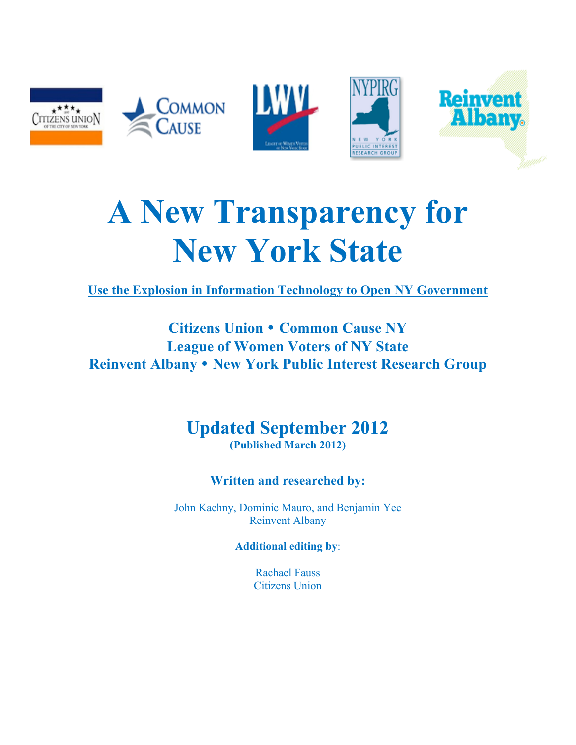

# **A New Transparency for New York State**

**Use the Explosion in Information Technology to Open NY Government**

### **Citizens Union** • **Common Cause NY League of Women Voters of NY State Reinvent Albany** • **New York Public Interest Research Group**

### **Updated September 2012 (Published March 2012)**

### **Written and researched by:**

John Kaehny, Dominic Mauro, and Benjamin Yee Reinvent Albany

**Additional editing by**:

Rachael Fauss Citizens Union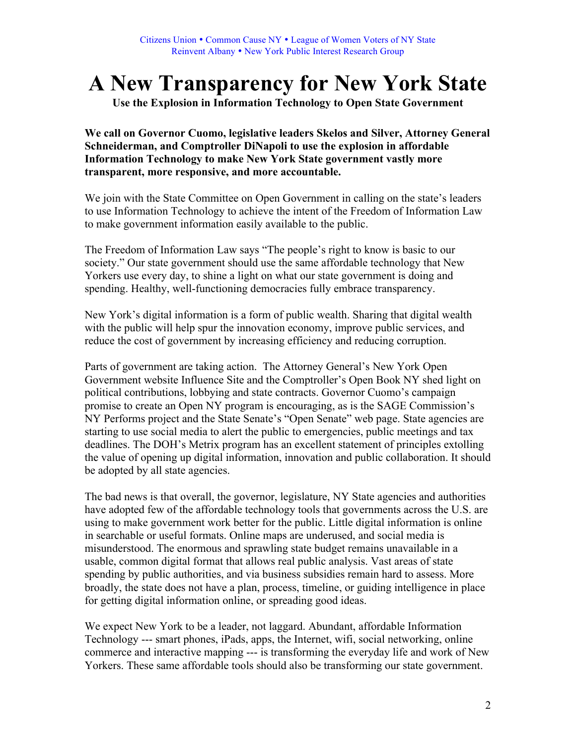## **A New Transparency for New York State**

**Use the Explosion in Information Technology to Open State Government**

**We call on Governor Cuomo, legislative leaders Skelos and Silver, Attorney General Schneiderman, and Comptroller DiNapoli to use the explosion in affordable Information Technology to make New York State government vastly more transparent, more responsive, and more accountable.** 

We join with the State Committee on Open Government in calling on the state's leaders to use Information Technology to achieve the intent of the Freedom of Information Law to make government information easily available to the public.

The Freedom of Information Law says "The people's right to know is basic to our society." Our state government should use the same affordable technology that New Yorkers use every day, to shine a light on what our state government is doing and spending. Healthy, well-functioning democracies fully embrace transparency.

New York's digital information is a form of public wealth. Sharing that digital wealth with the public will help spur the innovation economy, improve public services, and reduce the cost of government by increasing efficiency and reducing corruption.

Parts of government are taking action. The Attorney General's New York Open Government website Influence Site and the Comptroller's Open Book NY shed light on political contributions, lobbying and state contracts. Governor Cuomo's campaign promise to create an Open NY program is encouraging, as is the SAGE Commission's NY Performs project and the State Senate's "Open Senate" web page. State agencies are starting to use social media to alert the public to emergencies, public meetings and tax deadlines. The DOH's Metrix program has an excellent statement of principles extolling the value of opening up digital information, innovation and public collaboration. It should be adopted by all state agencies.

The bad news is that overall, the governor, legislature, NY State agencies and authorities have adopted few of the affordable technology tools that governments across the U.S. are using to make government work better for the public. Little digital information is online in searchable or useful formats. Online maps are underused, and social media is misunderstood. The enormous and sprawling state budget remains unavailable in a usable, common digital format that allows real public analysis. Vast areas of state spending by public authorities, and via business subsidies remain hard to assess. More broadly, the state does not have a plan, process, timeline, or guiding intelligence in place for getting digital information online, or spreading good ideas.

We expect New York to be a leader, not laggard. Abundant, affordable Information Technology --- smart phones, iPads, apps, the Internet, wifi, social networking, online commerce and interactive mapping --- is transforming the everyday life and work of New Yorkers. These same affordable tools should also be transforming our state government.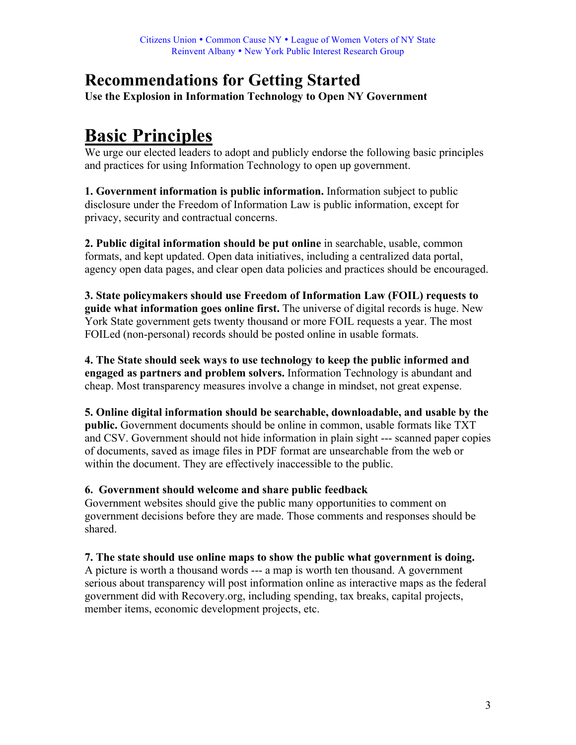### **Recommendations for Getting Started**

**Use the Explosion in Information Technology to Open NY Government**

### **Basic Principles**

We urge our elected leaders to adopt and publicly endorse the following basic principles and practices for using Information Technology to open up government.

**1. Government information is public information.** Information subject to public disclosure under the Freedom of Information Law is public information, except for privacy, security and contractual concerns.

**2. Public digital information should be put online** in searchable, usable, common formats, and kept updated. Open data initiatives, including a centralized data portal, agency open data pages, and clear open data policies and practices should be encouraged.

**3. State policymakers should use Freedom of Information Law (FOIL) requests to guide what information goes online first.** The universe of digital records is huge. New York State government gets twenty thousand or more FOIL requests a year. The most FOILed (non-personal) records should be posted online in usable formats.

**4. The State should seek ways to use technology to keep the public informed and engaged as partners and problem solvers.** Information Technology is abundant and cheap. Most transparency measures involve a change in mindset, not great expense.

**5. Online digital information should be searchable, downloadable, and usable by the public.** Government documents should be online in common, usable formats like TXT and CSV. Government should not hide information in plain sight --- scanned paper copies of documents, saved as image files in PDF format are unsearchable from the web or within the document. They are effectively inaccessible to the public.

#### **6. Government should welcome and share public feedback**

Government websites should give the public many opportunities to comment on government decisions before they are made. Those comments and responses should be shared.

#### **7. The state should use online maps to show the public what government is doing.**

A picture is worth a thousand words --- a map is worth ten thousand. A government serious about transparency will post information online as interactive maps as the federal government did with Recovery.org, including spending, tax breaks, capital projects, member items, economic development projects, etc.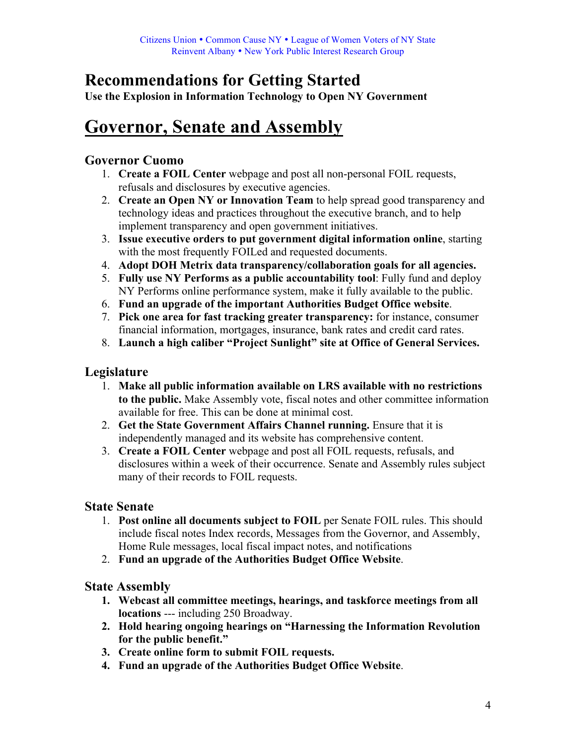### **Recommendations for Getting Started**

**Use the Explosion in Information Technology to Open NY Government**

### **Governor, Senate and Assembly**

#### **Governor Cuomo**

- 1. **Create a FOIL Center** webpage and post all non-personal FOIL requests, refusals and disclosures by executive agencies.
- 2. **Create an Open NY or Innovation Team** to help spread good transparency and technology ideas and practices throughout the executive branch, and to help implement transparency and open government initiatives.
- 3. **Issue executive orders to put government digital information online**, starting with the most frequently FOILed and requested documents.
- 4. **Adopt DOH Metrix data transparency/collaboration goals for all agencies.**
- 5. **Fully use NY Performs as a public accountability tool**: Fully fund and deploy NY Performs online performance system, make it fully available to the public.
- 6. **Fund an upgrade of the important Authorities Budget Office website**.
- 7. **Pick one area for fast tracking greater transparency:** for instance, consumer financial information, mortgages, insurance, bank rates and credit card rates.
- 8. **Launch a high caliber "Project Sunlight" site at Office of General Services.**

### **Legislature**

- 1. **Make all public information available on LRS available with no restrictions to the public.** Make Assembly vote, fiscal notes and other committee information available for free. This can be done at minimal cost.
- 2. **Get the State Government Affairs Channel running.** Ensure that it is independently managed and its website has comprehensive content.
- 3. **Create a FOIL Center** webpage and post all FOIL requests, refusals, and disclosures within a week of their occurrence. Senate and Assembly rules subject many of their records to FOIL requests.

### **State Senate**

- 1. **Post online all documents subject to FOIL** per Senate FOIL rules. This should include fiscal notes Index records, Messages from the Governor, and Assembly, Home Rule messages, local fiscal impact notes, and notifications
- 2. **Fund an upgrade of the Authorities Budget Office Website**.

### **State Assembly**

- **1. Webcast all committee meetings, hearings, and taskforce meetings from all locations** --- including 250 Broadway.
- **2. Hold hearing ongoing hearings on "Harnessing the Information Revolution for the public benefit."**
- **3. Create online form to submit FOIL requests.**
- **4. Fund an upgrade of the Authorities Budget Office Website**.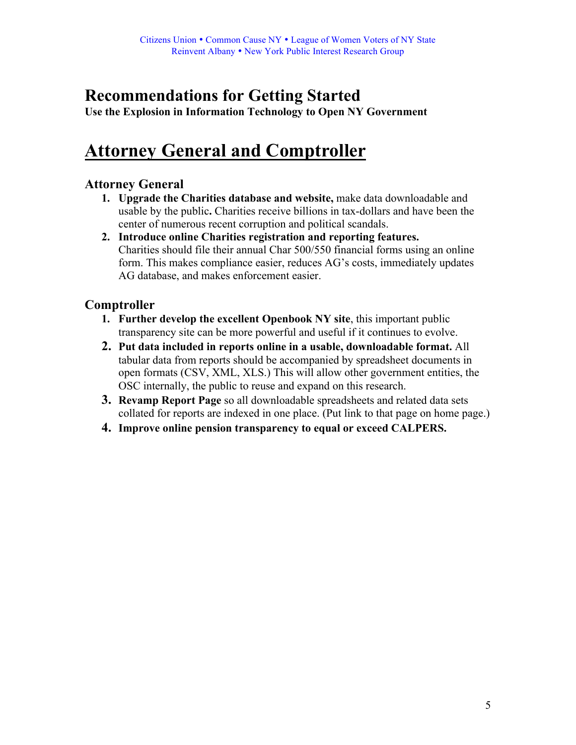### **Recommendations for Getting Started**

**Use the Explosion in Information Technology to Open NY Government**

### **Attorney General and Comptroller**

### **Attorney General**

- **1. Upgrade the Charities database and website,** make data downloadable and usable by the public**.** Charities receive billions in tax-dollars and have been the center of numerous recent corruption and political scandals.
- **2. Introduce online Charities registration and reporting features.** Charities should file their annual Char 500/550 financial forms using an online form. This makes compliance easier, reduces AG's costs, immediately updates AG database, and makes enforcement easier.

### **Comptroller**

- **1. Further develop the excellent Openbook NY site**, this important public transparency site can be more powerful and useful if it continues to evolve.
- **2. Put data included in reports online in a usable, downloadable format.** All tabular data from reports should be accompanied by spreadsheet documents in open formats (CSV, XML, XLS.) This will allow other government entities, the OSC internally, the public to reuse and expand on this research.
- **3. Revamp Report Page** so all downloadable spreadsheets and related data sets collated for reports are indexed in one place. (Put link to that page on home page.)
- **4. Improve online pension transparency to equal or exceed CALPERS.**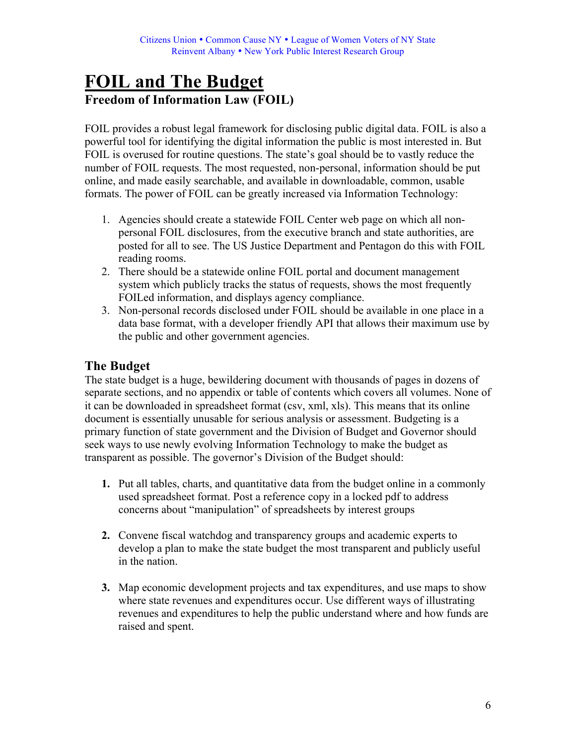### **FOIL and The Budget Freedom of Information Law (FOIL)**

FOIL provides a robust legal framework for disclosing public digital data. FOIL is also a powerful tool for identifying the digital information the public is most interested in. But FOIL is overused for routine questions. The state's goal should be to vastly reduce the number of FOIL requests. The most requested, non-personal, information should be put online, and made easily searchable, and available in downloadable, common, usable formats. The power of FOIL can be greatly increased via Information Technology:

- 1. Agencies should create a statewide FOIL Center web page on which all nonpersonal FOIL disclosures, from the executive branch and state authorities, are posted for all to see. The US Justice Department and Pentagon do this with FOIL reading rooms.
- 2. There should be a statewide online FOIL portal and document management system which publicly tracks the status of requests, shows the most frequently FOILed information, and displays agency compliance.
- 3. Non-personal records disclosed under FOIL should be available in one place in a data base format, with a developer friendly API that allows their maximum use by the public and other government agencies.

### **The Budget**

The state budget is a huge, bewildering document with thousands of pages in dozens of separate sections, and no appendix or table of contents which covers all volumes. None of it can be downloaded in spreadsheet format (csv, xml, xls). This means that its online document is essentially unusable for serious analysis or assessment. Budgeting is a primary function of state government and the Division of Budget and Governor should seek ways to use newly evolving Information Technology to make the budget as transparent as possible. The governor's Division of the Budget should:

- **1.** Put all tables, charts, and quantitative data from the budget online in a commonly used spreadsheet format. Post a reference copy in a locked pdf to address concerns about "manipulation" of spreadsheets by interest groups
- **2.** Convene fiscal watchdog and transparency groups and academic experts to develop a plan to make the state budget the most transparent and publicly useful in the nation.
- **3.** Map economic development projects and tax expenditures, and use maps to show where state revenues and expenditures occur. Use different ways of illustrating revenues and expenditures to help the public understand where and how funds are raised and spent.